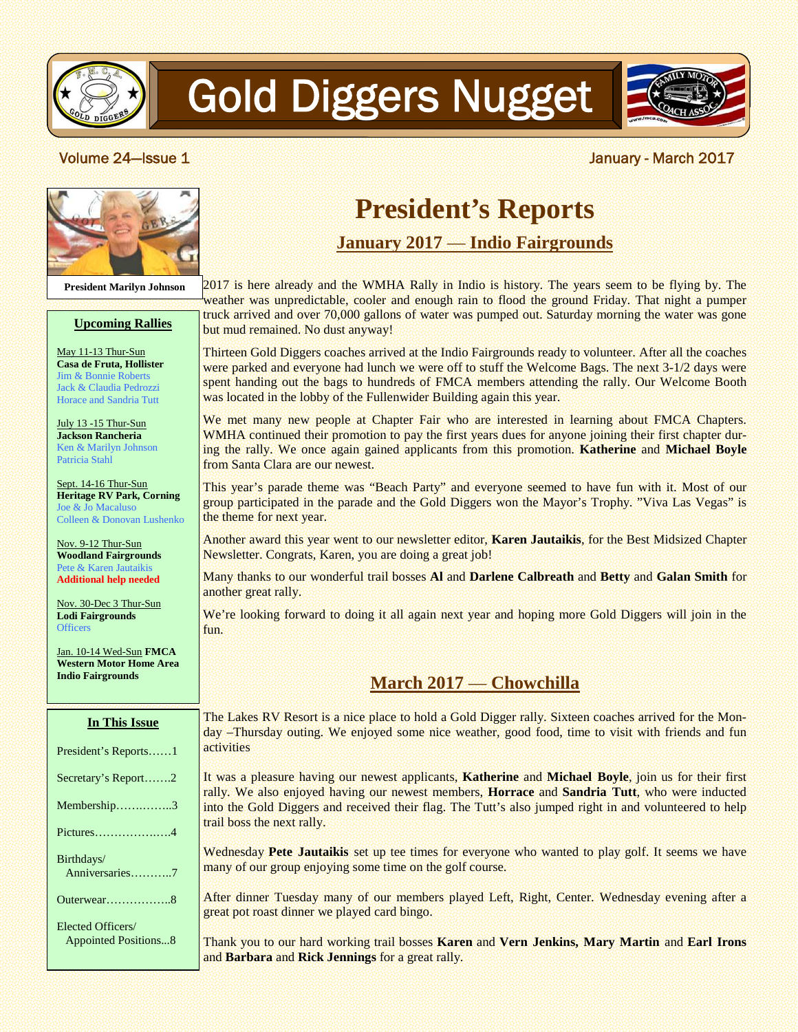

# Gold Diggers Nugget



**President Marilyn Johnson**

#### **Upcoming Rallies**

**Casa de Fruta, Hollister** Jim & Bonnie Roberts Jack & Claudia Pedrozzi Horace and Sandria Tutt

Patricia Stahl

Colleen & Donovan Lushenko

**Additional help needed**

**Lodi Fairgrounds Officers** 

Jan. 10-14 Wed-Sun **FMCA Western Motor Home Area Indio Fairgrounds**

## **President's Reports**

#### **January 2017** — **Indio Fairgrounds**

2017 is here already and the WMHA Rally in Indio is history. The years seem to be flying by. The weather was unpredictable, cooler and enough rain to flood the ground Friday. That night a pumper truck arrived and over 70,000 gallons of water was pumped out. Saturday morning the water was gone but mud remained. No dust anyway!

Thirteen Gold Diggers coaches arrived at the Indio Fairgrounds ready to volunteer. After all the coaches were parked and everyone had lunch we were off to stuff the Welcome Bags. The next 3-1/2 days were spent handing out the bags to hundreds of FMCA members attending the rally. Our Welcome Booth was located in the lobby of the Fullenwider Building again this year.

We met many new people at Chapter Fair who are interested in learning about FMCA Chapters. WMHA continued their promotion to pay the first years dues for anyone joining their first chapter during the rally. We once again gained applicants from this promotion. **Katherine** and **Michael Boyle** from Santa Clara are our newest.

This year's parade theme was "Beach Party" and everyone seemed to have fun with it. Most of our group participated in the parade and the Gold Diggers won the Mayor's Trophy. "Viva Las Vegas" is the theme for next year.

Another award this year went to our newsletter editor, **Karen Jautaikis**, for the Best Midsized Chapter Newsletter. Congrats, Karen, you are doing a great job!

Many thanks to our wonderful trail bosses **Al** and **Darlene Calbreath** and **Betty** and **Galan Smith** for another great rally.

We're looking forward to doing it all again next year and hoping more Gold Diggers will join in the fun.

### **March 2017** — **Chowchilla**

The Lakes RV Resort is a nice place to hold a Gold Digger rally. Sixteen coaches arrived for the Monday –Thursday outing. We enjoyed some nice weather, good food, time to visit with friends and fun activities

It was a pleasure having our newest applicants, **Katherine** and **Michael Boyle**, join us for their first rally. We also enjoyed having our newest members, **Horrace** and **Sandria Tutt**, who were inducted into the Gold Diggers and received their flag. The Tutt's also jumped right in and volunteered to help trail boss the next rally.

Wednesday **Pete Jautaikis** set up tee times for everyone who wanted to play golf. It seems we have many of our group enjoying some time on the golf course.

After dinner Tuesday many of our members played Left, Right, Center. Wednesday evening after a great pot roast dinner we played card bingo.

Thank you to our hard working trail bosses **Karen** and **Vern Jenkins, Mary Martin** and **Earl Irons** and **Barbara** and **Rick Jennings** for a great rally.

#### **Volume 24—Issue 1** Note 2017 **March 2017**

May 11-13 Thur-Sun

July 13 -15 Thur-Sun **Jackson Rancheria** Ken & Marilyn Johnson

Sept. 14-16 Thur-Sun **Heritage RV Park, Corning** Joe & Jo Macaluso

Nov. 9-12 Thur-Sun **Woodland Fairgrounds** Pete & Karen Jautaikis

Nov. 30-Dec 3 Thur-Sun

**In This Issue**

President's Reports……1 Secretary's Report…….2

Membership…….……..3

Pictures…………….….4

Anniversaries………..7

Outerwear……………..8

Appointed Positions...8

Elected Officers/

Birthdays/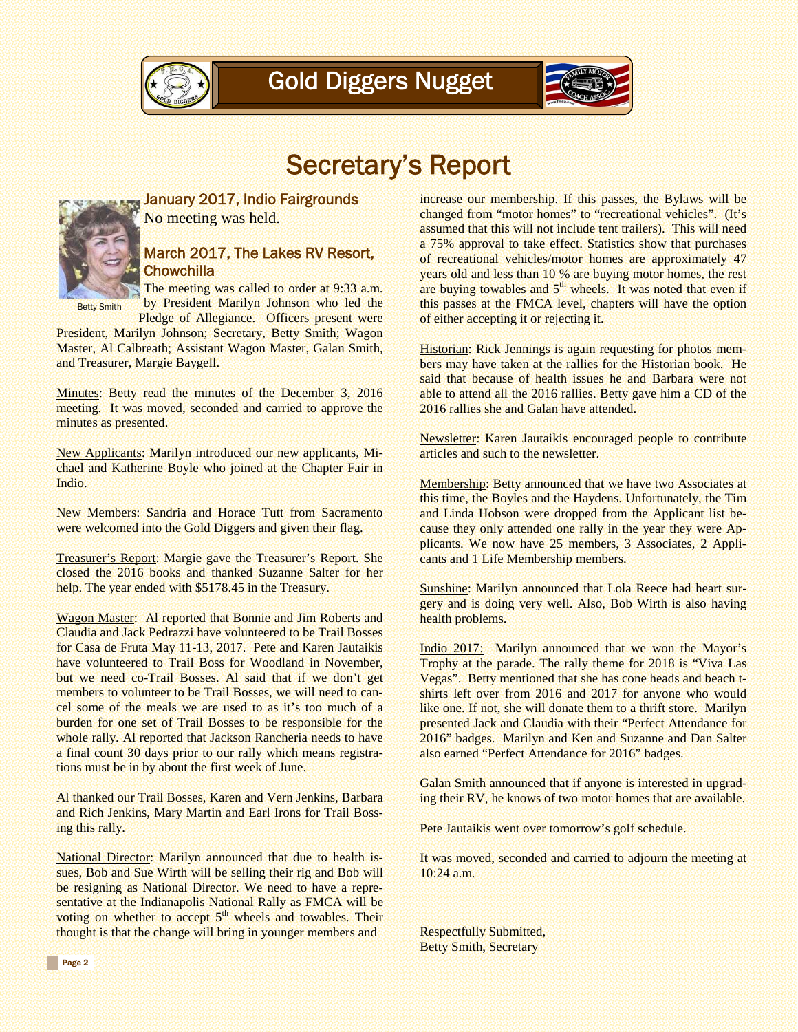



### Secretary's Report



January 2017, Indio Fairgrounds No meeting was held.

#### March 2017, The Lakes RV Resort, **Chowchilla**

The meeting was called to order at 9:33 a.m. by President Marilyn Johnson who led the Pledge of Allegiance. Officers present were Betty Smith

President, Marilyn Johnson; Secretary, Betty Smith; Wagon Master, Al Calbreath; Assistant Wagon Master, Galan Smith, and Treasurer, Margie Baygell.

Minutes: Betty read the minutes of the December 3, 2016 meeting. It was moved, seconded and carried to approve the minutes as presented.

New Applicants: Marilyn introduced our new applicants, Michael and Katherine Boyle who joined at the Chapter Fair in Indio.

New Members: Sandria and Horace Tutt from Sacramento were welcomed into the Gold Diggers and given their flag.

Treasurer's Report: Margie gave the Treasurer's Report. She closed the 2016 books and thanked Suzanne Salter for her help. The year ended with \$5178.45 in the Treasury.

Wagon Master: Al reported that Bonnie and Jim Roberts and Claudia and Jack Pedrazzi have volunteered to be Trail Bosses for Casa de Fruta May 11-13, 2017. Pete and Karen Jautaikis have volunteered to Trail Boss for Woodland in November, but we need co-Trail Bosses. Al said that if we don't get members to volunteer to be Trail Bosses, we will need to cancel some of the meals we are used to as it's too much of a burden for one set of Trail Bosses to be responsible for the whole rally. Al reported that Jackson Rancheria needs to have a final count 30 days prior to our rally which means registrations must be in by about the first week of June.

Al thanked our Trail Bosses, Karen and Vern Jenkins, Barbara and Rich Jenkins, Mary Martin and Earl Irons for Trail Bossing this rally.

National Director: Marilyn announced that due to health issues, Bob and Sue Wirth will be selling their rig and Bob will be resigning as National Director. We need to have a representative at the Indianapolis National Rally as FMCA will be voting on whether to accept  $5<sup>th</sup>$  wheels and towables. Their thought is that the change will bring in younger members and

increase our membership. If this passes, the Bylaws will be changed from "motor homes" to "recreational vehicles". (It's assumed that this will not include tent trailers). This will need a 75% approval to take effect. Statistics show that purchases of recreational vehicles/motor homes are approximately 47 years old and less than 10 % are buying motor homes, the rest are buying towables and  $5<sup>th</sup>$  wheels. It was noted that even if this passes at the FMCA level, chapters will have the option of either accepting it or rejecting it.

Historian: Rick Jennings is again requesting for photos members may have taken at the rallies for the Historian book. He said that because of health issues he and Barbara were not able to attend all the 2016 rallies. Betty gave him a CD of the 2016 rallies she and Galan have attended.

Newsletter: Karen Jautaikis encouraged people to contribute articles and such to the newsletter.

Membership: Betty announced that we have two Associates at this time, the Boyles and the Haydens. Unfortunately, the Tim and Linda Hobson were dropped from the Applicant list because they only attended one rally in the year they were Applicants. We now have 25 members, 3 Associates, 2 Applicants and 1 Life Membership members.

Sunshine: Marilyn announced that Lola Reece had heart surgery and is doing very well. Also, Bob Wirth is also having health problems.

Indio 2017: Marilyn announced that we won the Mayor's Trophy at the parade. The rally theme for 2018 is "Viva Las Vegas". Betty mentioned that she has cone heads and beach tshirts left over from 2016 and 2017 for anyone who would like one. If not, she will donate them to a thrift store. Marilyn presented Jack and Claudia with their "Perfect Attendance for 2016" badges. Marilyn and Ken and Suzanne and Dan Salter also earned "Perfect Attendance for 2016" badges.

Galan Smith announced that if anyone is interested in upgrading their RV, he knows of two motor homes that are available.

Pete Jautaikis went over tomorrow's golf schedule.

It was moved, seconded and carried to adjourn the meeting at 10:24 a.m.

Respectfully Submitted, Betty Smith, Secretary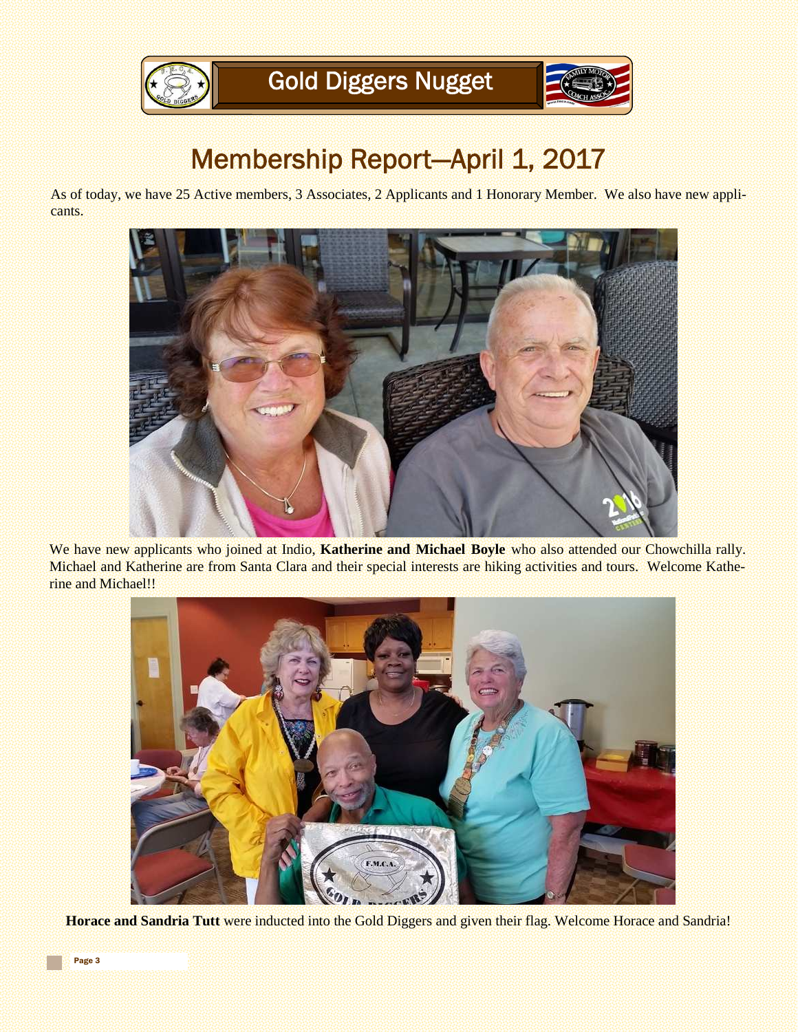

## Membership Report-April 1, 2017

As of today, we have 25 Active members, 3 Associates, 2 Applicants and 1 Honorary Member. We also have new applicants.



We have new applicants who joined at Indio, **Katherine and Michael Boyle** who also attended our Chowchilla rally. Michael and Katherine are from Santa Clara and their special interests are hiking activities and tours. Welcome Katherine and Michael!!



**Horace and Sandria Tutt** were inducted into the Gold Diggers and given their flag. Welcome Horace and Sandria!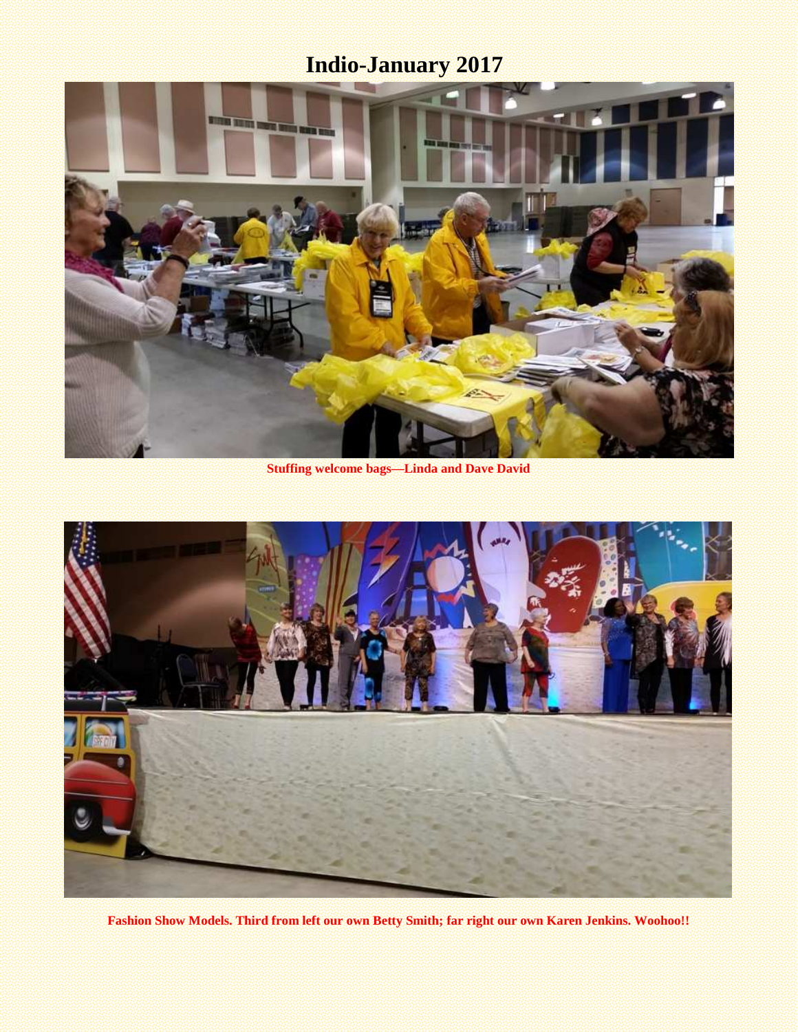### **Indio-January 2017**



**Stuffing welcome bags—Linda and Dave David**



**Fashion Show Models. Third from left our own Betty Smith; far right our own Karen Jenkins. Woohoo!!**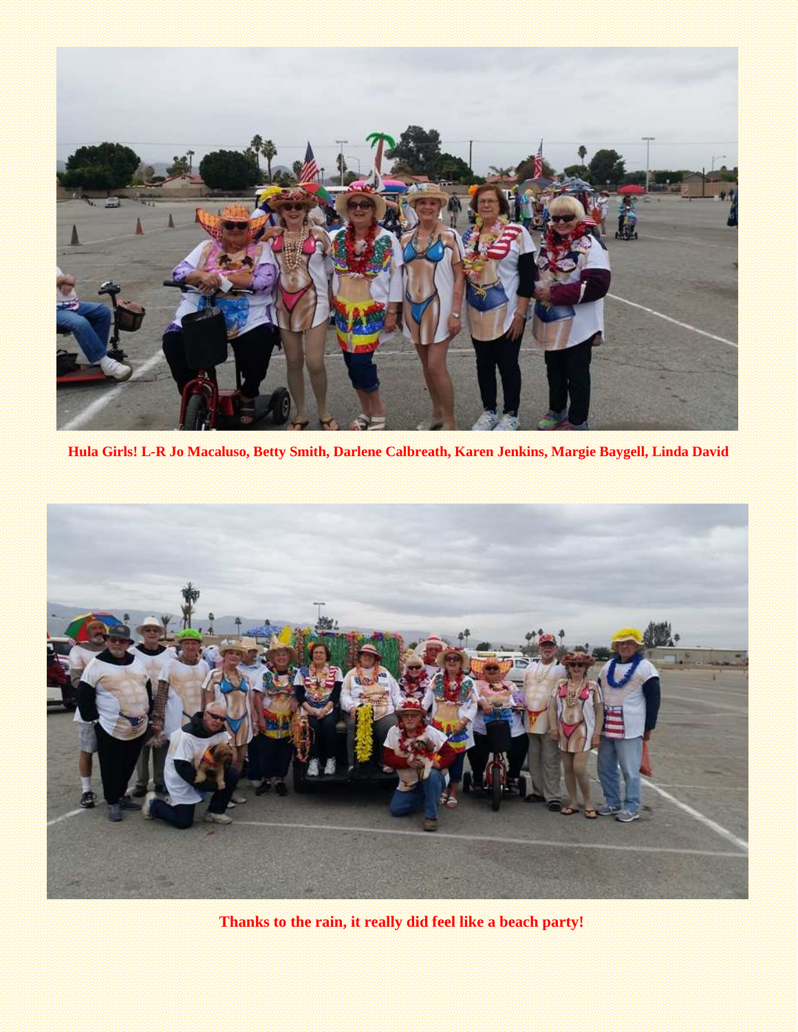

**Hula Girls! L-R Jo Macaluso, Betty Smith, Darlene Calbreath, Karen Jenkins, Margie Baygell, Linda David**



**Thanks to the rain, it really did feel like a beach party!**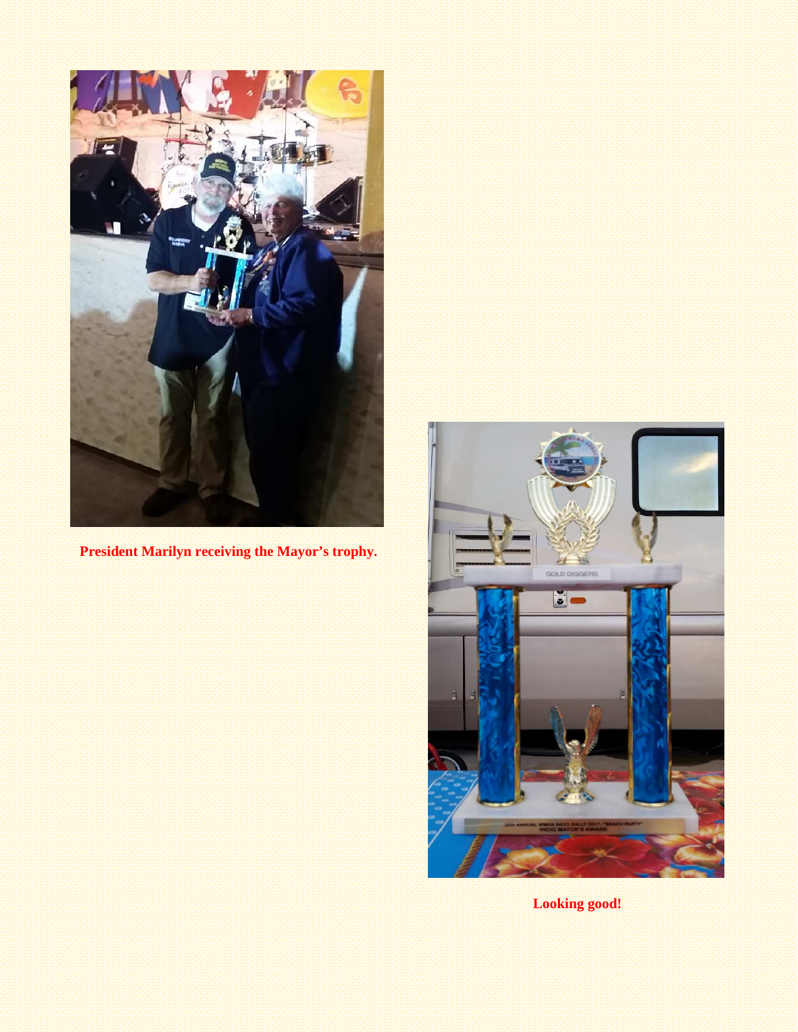

**President Marilyn receiving the Mayor's trophy.**



**Looking good!**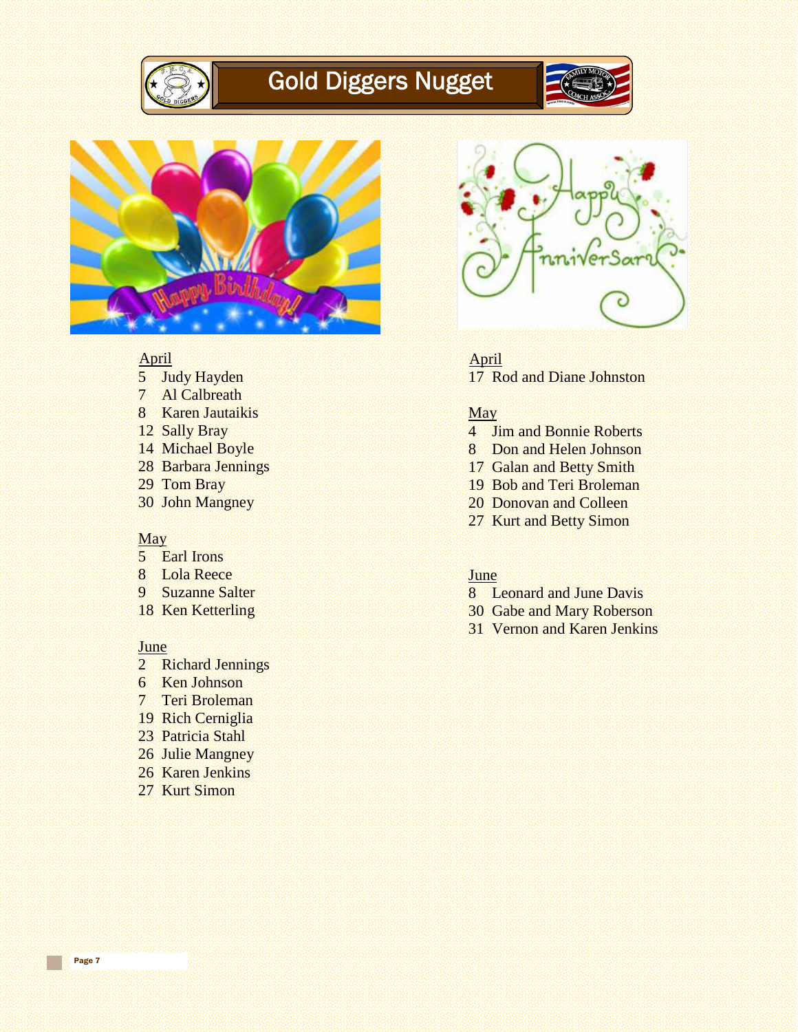

### Gold Diggers Nugget





#### April

- 5 Judy Hayden
- 7 Al Calbreath
- 8 Karen Jautaikis
- 12 Sally Bray
- 14 Michael Boyle
- 28 Barbara Jennings
- 29 Tom Bray
- 30 John Mangney

#### **May**

- 5 Earl Irons
- 8 Lola Reece
- 9 Suzanne Salter
- 18 Ken Ketterling

#### **June**

- 2 Richard Jennings
- 6 Ken Johnson
- 7 Teri Broleman
- 19 Rich Cerniglia
- 23 Patricia Stahl
- 26 Julie Mangney
- 26 Karen Jenkins
- 27 Kurt Simon



April 17 Rod and Diane Johnston

#### May

- 4 Jim and Bonnie Roberts
- 8 Don and Helen Johnson
- 17 Galan and Betty Smith
- 19 Bob and Teri Broleman
- 20 Donovan and Colleen
- 27 Kurt and Betty Simon

#### **June**

- 8 Leonard and June Davis
- 30 Gabe and Mary Roberson
- 31 Vernon and Karen Jenkins